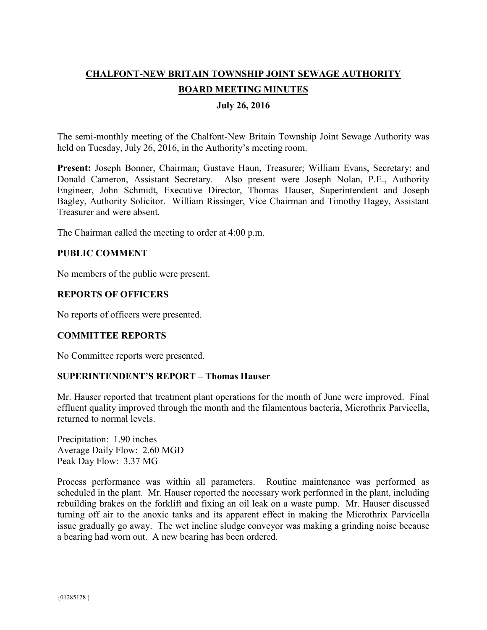# **CHALFONT-NEW BRITAIN TOWNSHIP JOINT SEWAGE AUTHORITY BOARD MEETING MINUTES**

## **July 26, 2016**

The semi-monthly meeting of the Chalfont-New Britain Township Joint Sewage Authority was held on Tuesday, July 26, 2016, in the Authority's meeting room.

**Present:** Joseph Bonner, Chairman; Gustave Haun, Treasurer; William Evans, Secretary; and Donald Cameron, Assistant Secretary. Also present were Joseph Nolan, P.E., Authority Engineer, John Schmidt, Executive Director, Thomas Hauser, Superintendent and Joseph Bagley, Authority Solicitor. William Rissinger, Vice Chairman and Timothy Hagey, Assistant Treasurer and were absent.

The Chairman called the meeting to order at 4:00 p.m.

## **PUBLIC COMMENT**

No members of the public were present.

## **REPORTS OF OFFICERS**

No reports of officers were presented.

#### **COMMITTEE REPORTS**

No Committee reports were presented.

#### **SUPERINTENDENT'S REPORT – Thomas Hauser**

Mr. Hauser reported that treatment plant operations for the month of June were improved. Final effluent quality improved through the month and the filamentous bacteria, Microthrix Parvicella, returned to normal levels.

Precipitation: 1.90 inches Average Daily Flow: 2.60 MGD Peak Day Flow: 3.37 MG

Process performance was within all parameters. Routine maintenance was performed as scheduled in the plant. Mr. Hauser reported the necessary work performed in the plant, including rebuilding brakes on the forklift and fixing an oil leak on a waste pump. Mr. Hauser discussed turning off air to the anoxic tanks and its apparent effect in making the Microthrix Parvicella issue gradually go away. The wet incline sludge conveyor was making a grinding noise because a bearing had worn out. A new bearing has been ordered.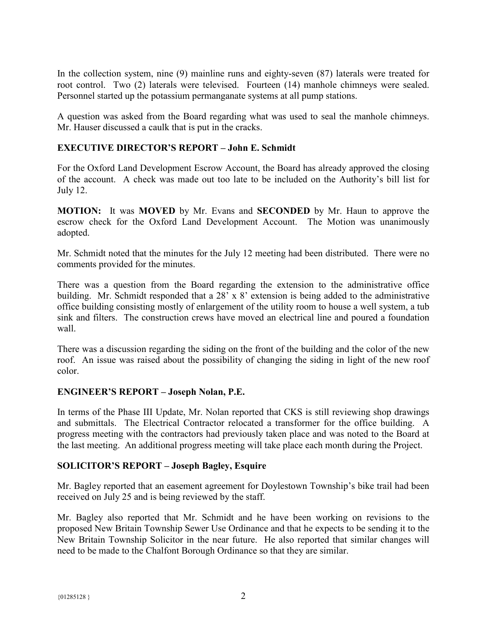In the collection system, nine (9) mainline runs and eighty-seven (87) laterals were treated for root control. Two (2) laterals were televised. Fourteen (14) manhole chimneys were sealed. Personnel started up the potassium permanganate systems at all pump stations.

A question was asked from the Board regarding what was used to seal the manhole chimneys. Mr. Hauser discussed a caulk that is put in the cracks.

## **EXECUTIVE DIRECTOR'S REPORT – John E. Schmidt**

For the Oxford Land Development Escrow Account, the Board has already approved the closing of the account. A check was made out too late to be included on the Authority's bill list for July 12.

**MOTION:** It was **MOVED** by Mr. Evans and **SECONDED** by Mr. Haun to approve the escrow check for the Oxford Land Development Account. The Motion was unanimously adopted.

Mr. Schmidt noted that the minutes for the July 12 meeting had been distributed. There were no comments provided for the minutes.

There was a question from the Board regarding the extension to the administrative office building. Mr. Schmidt responded that a 28' x 8' extension is being added to the administrative office building consisting mostly of enlargement of the utility room to house a well system, a tub sink and filters. The construction crews have moved an electrical line and poured a foundation wall.

There was a discussion regarding the siding on the front of the building and the color of the new roof. An issue was raised about the possibility of changing the siding in light of the new roof color.

#### **ENGINEER'S REPORT – Joseph Nolan, P.E.**

In terms of the Phase III Update, Mr. Nolan reported that CKS is still reviewing shop drawings and submittals. The Electrical Contractor relocated a transformer for the office building. A progress meeting with the contractors had previously taken place and was noted to the Board at the last meeting. An additional progress meeting will take place each month during the Project.

#### **SOLICITOR'S REPORT – Joseph Bagley, Esquire**

Mr. Bagley reported that an easement agreement for Doylestown Township's bike trail had been received on July 25 and is being reviewed by the staff.

Mr. Bagley also reported that Mr. Schmidt and he have been working on revisions to the proposed New Britain Township Sewer Use Ordinance and that he expects to be sending it to the New Britain Township Solicitor in the near future. He also reported that similar changes will need to be made to the Chalfont Borough Ordinance so that they are similar.